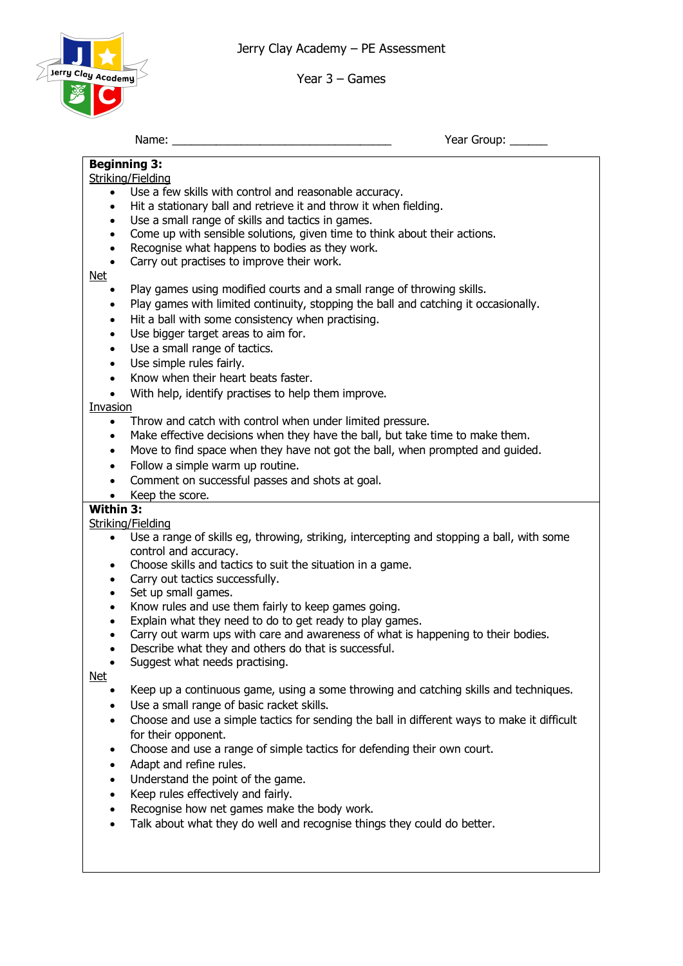Jerry Clay Academy – PE Assessment



Year 3 – Games

Name: \_\_\_\_\_\_\_\_\_\_\_\_\_\_\_\_\_\_\_\_\_\_\_\_\_\_\_\_\_\_\_\_\_\_\_ Year Group: \_\_\_\_\_\_

# **Beginning 3:**

Striking/Fielding

- Use a few skills with control and reasonable accuracy.
- Hit a stationary ball and retrieve it and throw it when fielding.
- Use a small range of skills and tactics in games.
- Come up with sensible solutions, given time to think about their actions.
- Recognise what happens to bodies as they work.
- Carry out practises to improve their work.

#### Net

- Play games using modified courts and a small range of throwing skills.
- Play games with limited continuity, stopping the ball and catching it occasionally.
- Hit a ball with some consistency when practising.
- Use bigger target areas to aim for.
- Use a small range of tactics.
- Use simple rules fairly.
- Know when their heart beats faster.
- With help, identify practises to help them improve.

#### **Invasion**

- Throw and catch with control when under limited pressure.
- Make effective decisions when they have the ball, but take time to make them.
- Move to find space when they have not got the ball, when prompted and guided.
- Follow a simple warm up routine.
- Comment on successful passes and shots at goal.
- Keep the score.

## **Within 3:**

Striking/Fielding

- Use a range of skills eg, throwing, striking, intercepting and stopping a ball, with some control and accuracy.
- Choose skills and tactics to suit the situation in a game.
- Carry out tactics successfully.
- Set up small games.
- Know rules and use them fairly to keep games going.
- Explain what they need to do to get ready to play games.
- Carry out warm ups with care and awareness of what is happening to their bodies.
- Describe what they and others do that is successful.
- Suggest what needs practising.

Net

- Keep up a continuous game, using a some throwing and catching skills and techniques.
- Use a small range of basic racket skills.
- Choose and use a simple tactics for sending the ball in different ways to make it difficult for their opponent.
- Choose and use a range of simple tactics for defending their own court.
- Adapt and refine rules.
- Understand the point of the game.
- Keep rules effectively and fairly.
- Recognise how net games make the body work.
- Talk about what they do well and recognise things they could do better.